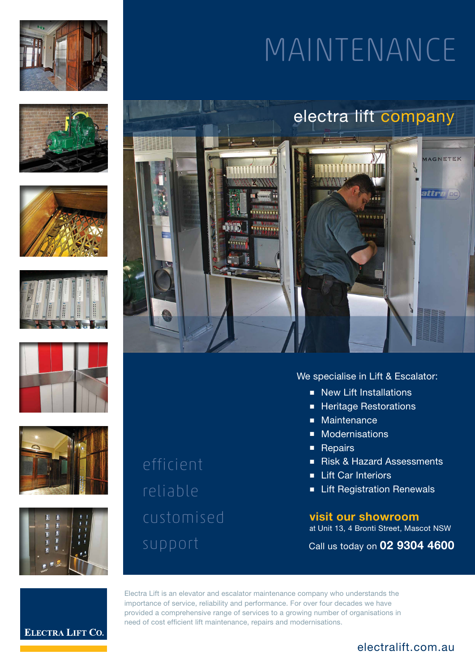













efficient reliable customised

# MAINTENANCE



# We specialise in Lift & Escalator:

- New Lift Installations
- Heritage Restorations
- Maintenance
- Modernisations
- Repairs
- Risk & Hazard Assessments
- Lift Car Interiors
- Lift Registration Renewals

**visit our showroom** at Unit 13, 4 Bronti Street, Mascot NSW

Call us today on **02 9304 4600**

**ELECTRA LIFT CO.** 

Electra Lift is an elevator and escalator maintenance company who understands the importance of service, reliability and performance. For over four decades we have provided a comprehensive range of services to a growing number of organisations in need of cost efficient lift maintenance, repairs and modernisations.

# electralift.com.au